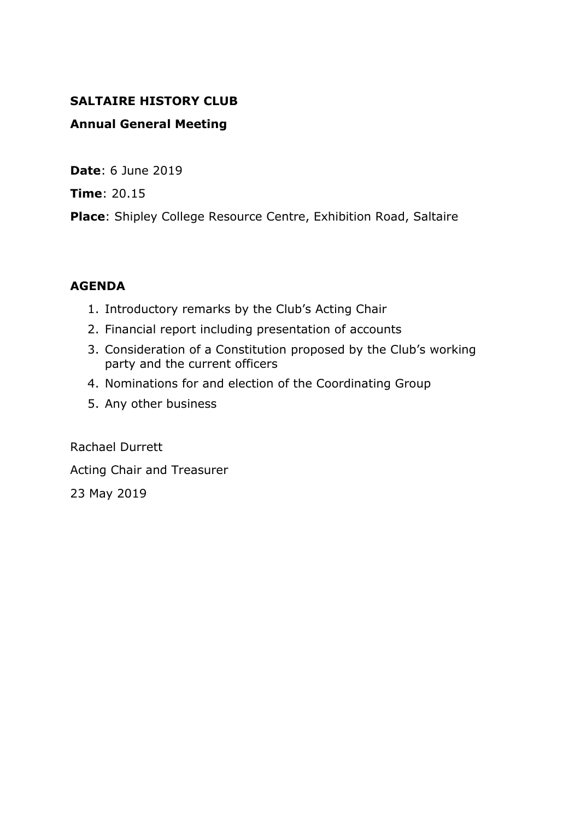#### **SALTAIRE HISTORY CLUB**

#### **Annual General Meeting**

**Date**: 6 June 2019

**Time**: 20.15

**Place**: Shipley College Resource Centre, Exhibition Road, Saltaire

#### **AGENDA**

- 1. Introductory remarks by the Club's Acting Chair
- 2. Financial report including presentation of accounts
- 3. Consideration of a Constitution proposed by the Club's working party and the current officers
- 4. Nominations for and election of the Coordinating Group
- 5. Any other business

Rachael Durrett

Acting Chair and Treasurer

23 May 2019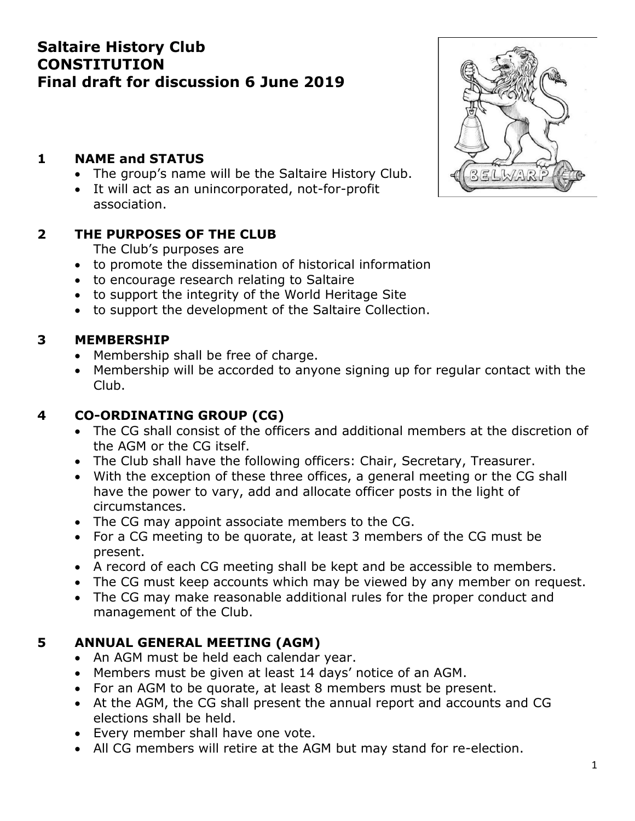# **Saltaire History Club CONSTITUTION Final draft for discussion 6 June 2019**

# **1 NAME and STATUS**

- The group's name will be the Saltaire History Club.
- It will act as an unincorporated, not-for-profit association.

# **2 THE PURPOSES OF THE CLUB**

The Club's purposes are

- to promote the dissemination of historical information
- to encourage research relating to Saltaire
- to support the integrity of the World Heritage Site
- to support the development of the Saltaire Collection.

# **3 MEMBERSHIP**

- Membership shall be free of charge.
- Membership will be accorded to anyone signing up for regular contact with the Club.

# **4 CO-ORDINATING GROUP (CG)**

- The CG shall consist of the officers and additional members at the discretion of the AGM or the CG itself.
- The Club shall have the following officers: Chair, Secretary, Treasurer.
- With the exception of these three offices, a general meeting or the CG shall have the power to vary, add and allocate officer posts in the light of circumstances.
- The CG may appoint associate members to the CG.
- For a CG meeting to be quorate, at least 3 members of the CG must be present.
- A record of each CG meeting shall be kept and be accessible to members.
- The CG must keep accounts which may be viewed by any member on request.
- The CG may make reasonable additional rules for the proper conduct and management of the Club.

# **5 ANNUAL GENERAL MEETING (AGM)**

- An AGM must be held each calendar year.
- Members must be given at least 14 days' notice of an AGM.
- For an AGM to be quorate, at least 8 members must be present.
- At the AGM, the CG shall present the annual report and accounts and CG elections shall be held.
- Every member shall have one vote.
- All CG members will retire at the AGM but may stand for re-election.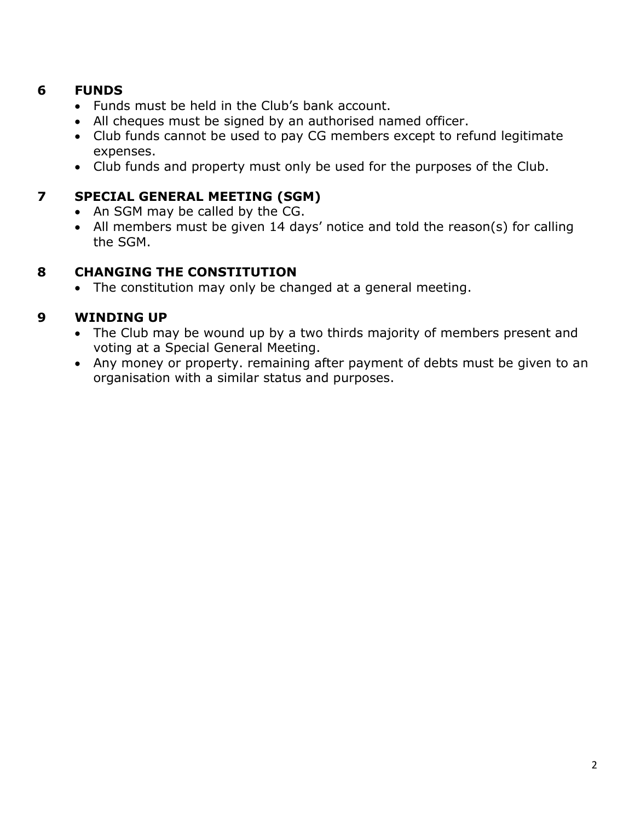#### **6 FUNDS**

- Funds must be held in the Club's bank account.
- All cheques must be signed by an authorised named officer.
- Club funds cannot be used to pay CG members except to refund legitimate expenses.
- Club funds and property must only be used for the purposes of the Club.

# **7 SPECIAL GENERAL MEETING (SGM)**

- An SGM may be called by the CG.
- All members must be given 14 days' notice and told the reason(s) for calling the SGM.

# **8 CHANGING THE CONSTITUTION**

• The constitution may only be changed at a general meeting.

# **9 WINDING UP**

- The Club may be wound up by a two thirds majority of members present and voting at a Special General Meeting.
- Any money or property. remaining after payment of debts must be given to an organisation with a similar status and purposes.